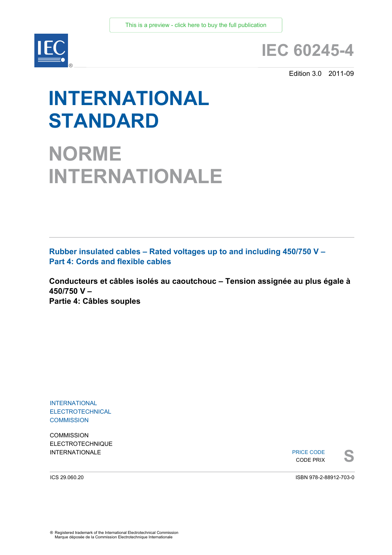

## **IEC 60245-4**

Edition 3.0 2011-09

# **INTERNATIONAL STANDARD**

**NORME INTERNATIONALE**

**Rubber insulated cables – Rated voltages up to and including 450/750 V – Part 4: Cords and flexible cables** 

**Conducteurs et câbles isolés au caoutchouc – Tension assignée au plus égale à 450/750 V – Partie 4: Câbles souples** 

INTERNATIONAL **ELECTROTECHNICAL COMMISSION** 

**COMMISSION** ELECTROTECHNIQUE

INTERNATIONALE PRICE CODE PRIX PRICE CODE CODE PRIX

ICS 29.060.20

ISBN 978-2-88912-703-0

® Registered trademark of the International Electrotechnical Commission Marque déposée de la Commission Electrotechnique Internationale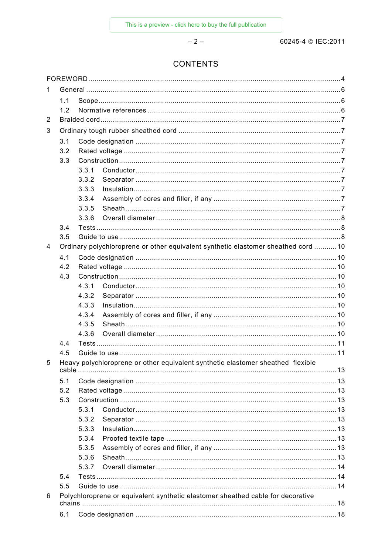$-2-$ 

60245-4 © IEC:2011

## **CONTENTS**

| 1. |     |       |                                                                                   |  |  |  |
|----|-----|-------|-----------------------------------------------------------------------------------|--|--|--|
|    | 1.1 |       |                                                                                   |  |  |  |
|    | 1.2 |       |                                                                                   |  |  |  |
| 2  |     |       |                                                                                   |  |  |  |
| 3  |     |       |                                                                                   |  |  |  |
|    | 3.1 |       |                                                                                   |  |  |  |
|    | 3.2 |       |                                                                                   |  |  |  |
|    | 3.3 |       |                                                                                   |  |  |  |
|    |     | 3.3.1 |                                                                                   |  |  |  |
|    |     | 3.3.2 |                                                                                   |  |  |  |
|    |     | 3.3.3 |                                                                                   |  |  |  |
|    |     | 3.3.4 |                                                                                   |  |  |  |
|    |     | 3.3.5 |                                                                                   |  |  |  |
|    |     | 3.3.6 |                                                                                   |  |  |  |
|    | 3.4 |       |                                                                                   |  |  |  |
|    | 3.5 |       |                                                                                   |  |  |  |
| 4  |     |       | Ordinary polychloroprene or other equivalent synthetic elastomer sheathed cord 10 |  |  |  |
|    | 4.1 |       |                                                                                   |  |  |  |
|    | 4.2 |       |                                                                                   |  |  |  |
|    | 4.3 |       |                                                                                   |  |  |  |
|    |     | 4.3.1 |                                                                                   |  |  |  |
|    |     | 4.3.2 |                                                                                   |  |  |  |
|    |     | 4.3.3 |                                                                                   |  |  |  |
|    |     | 4.3.4 |                                                                                   |  |  |  |
|    |     | 4.3.5 |                                                                                   |  |  |  |
|    |     | 4.3.6 |                                                                                   |  |  |  |
|    | 4.4 |       |                                                                                   |  |  |  |
|    | 4.5 |       |                                                                                   |  |  |  |
| 5  |     |       | Heavy polychloroprene or other equivalent synthetic elastomer sheathed flexible   |  |  |  |
|    |     |       |                                                                                   |  |  |  |
|    | 5.1 |       |                                                                                   |  |  |  |
|    | 5.2 |       |                                                                                   |  |  |  |
|    | 5.3 |       |                                                                                   |  |  |  |
|    |     | 5.3.1 |                                                                                   |  |  |  |
|    |     | 5.3.2 |                                                                                   |  |  |  |
|    |     | 5.3.3 |                                                                                   |  |  |  |
|    |     | 5.3.4 |                                                                                   |  |  |  |
|    |     | 5.3.5 |                                                                                   |  |  |  |
|    |     | 5.3.6 |                                                                                   |  |  |  |
|    |     | 5.3.7 |                                                                                   |  |  |  |
|    | 5.4 |       |                                                                                   |  |  |  |
|    | 5.5 |       |                                                                                   |  |  |  |
| 6  |     |       | Polychloroprene or equivalent synthetic elastomer sheathed cable for decorative   |  |  |  |
|    | 6.1 |       |                                                                                   |  |  |  |
|    |     |       |                                                                                   |  |  |  |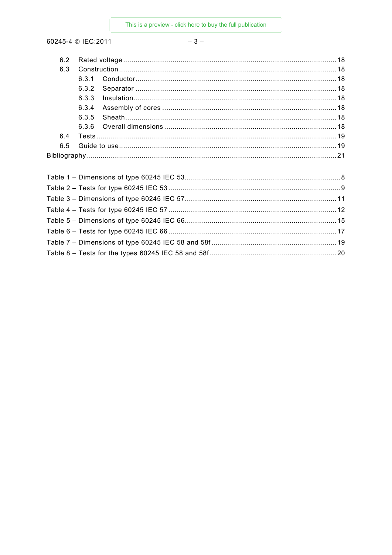This is a preview - click here to buy the full publication

60245-4 © IEC:2011

## $-3-$

| 6.2 |       |  |
|-----|-------|--|
| 6.3 |       |  |
|     | 6.3.1 |  |
|     | 6.3.2 |  |
|     | 6.3.3 |  |
|     | 6.3.4 |  |
|     | 6.3.5 |  |
|     | 6.3.6 |  |
| 6.4 |       |  |
| 6.5 |       |  |
|     |       |  |
|     |       |  |
|     |       |  |
|     |       |  |
|     |       |  |
|     |       |  |
|     |       |  |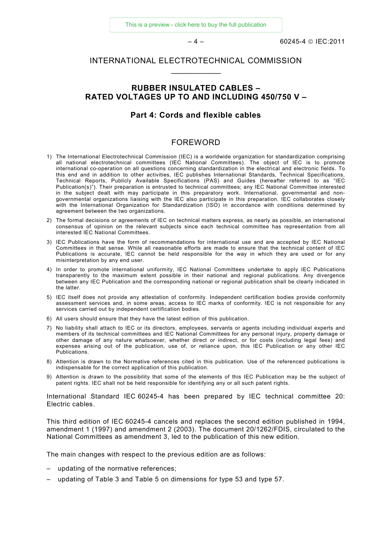## INTERNATIONAL ELECTROTECHNICAL COMMISSION \_\_\_\_\_\_\_\_\_\_\_\_

## **RUBBER INSULATED CABLES – RATED VOLTAGES UP TO AND INCLUDING 450/750 V –**

#### **Part 4: Cords and flexible cables**

#### FOREWORD

- 1) The International Electrotechnical Commission (IEC) is a worldwide organization for standardization comprising all national electrotechnical committees (IEC National Committees). The object of IEC is to promote international co-operation on all questions concerning standardization in the electrical and electronic fields. To this end and in addition to other activities, IEC publishes International Standards, Technical Specifications, Technical Reports, Publicly Available Specifications (PAS) and Guides (hereafter referred to as "IEC Publication(s)"). Their preparation is entrusted to technical committees; any IEC National Committee interested in the subject dealt with may participate in this preparatory work. International, governmental and nongovernmental organizations liaising with the IEC also participate in this preparation. IEC collaborates closely with the International Organization for Standardization (ISO) in accordance with conditions determined by agreement between the two organizations.
- 2) The formal decisions or agreements of IEC on technical matters express, as nearly as possible, an international consensus of opinion on the relevant subjects since each technical committee has representation from all interested IEC National Committees.
- 3) IEC Publications have the form of recommendations for international use and are accepted by IEC National Committees in that sense. While all reasonable efforts are made to ensure that the technical content of IEC Publications is accurate, IEC cannot be held responsible for the way in which they are used or for any misinterpretation by any end user.
- 4) In order to promote international uniformity, IEC National Committees undertake to apply IEC Publications transparently to the maximum extent possible in their national and regional publications. Any divergence between any IEC Publication and the corresponding national or regional publication shall be clearly indicated in the latter.
- 5) IEC itself does not provide any attestation of conformity. Independent certification bodies provide conformity assessment services and, in some areas, access to IEC marks of conformity. IEC is not responsible for any services carried out by independent certification bodies.
- 6) All users should ensure that they have the latest edition of this publication.
- 7) No liability shall attach to IEC or its directors, employees, servants or agents including individual experts and members of its technical committees and IEC National Committees for any personal injury, property damage or other damage of any nature whatsoever, whether direct or indirect, or for costs (including legal fees) and expenses arising out of the publication, use of, or reliance upon, this IEC Publication or any other IEC Publications.
- 8) Attention is drawn to the Normative references cited in this publication. Use of the referenced publications is indispensable for the correct application of this publication.
- 9) Attention is drawn to the possibility that some of the elements of this IEC Publication may be the subject of patent rights. IEC shall not be held responsible for identifying any or all such patent rights.

International Standard IEC 60245-4 has been prepared by IEC technical committee 20: Electric cables.

This third edition of IEC 60245-4 cancels and replaces the second edition published in 1994, amendment 1 (1997) and amendment 2 (2003). The document 20/1262/FDIS, circulated to the National Committees as amendment 3, led to the publication of this new edition.

The main changes with respect to the previous edition are as follows:

- updating of the normative references;
- updating of Table 3 and Table 5 on dimensions for type 53 and type 57.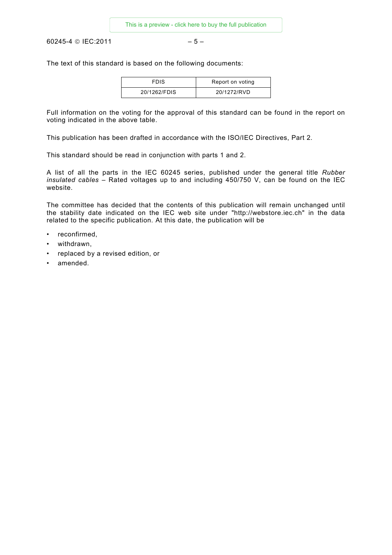$60245-4$  © IEC:2011 – 5 –

The text of this standard is based on the following documents:

| <b>FDIS</b>  | Report on voting |  |
|--------------|------------------|--|
| 20/1262/FDIS | 20/1272/RVD      |  |

Full information on the voting for the approval of this standard can be found in the report on voting indicated in the above table.

This publication has been drafted in accordance with the ISO/IEC Directives, Part 2.

This standard should be read in conjunction with parts 1 and 2.

A list of all the parts in the IEC 60245 series, published under the general title *Rubber insulated cables* – Rated voltages up to and including 450/750 V, can be found on the IEC website.

The committee has decided that the contents of this publication will remain unchanged until the stability date indicated on the IEC web site under "http://webstore.iec.ch" in the data related to the specific publication. At this date, the publication will be

- reconfirmed,
- withdrawn,
- replaced by a revised edition, or
- amended.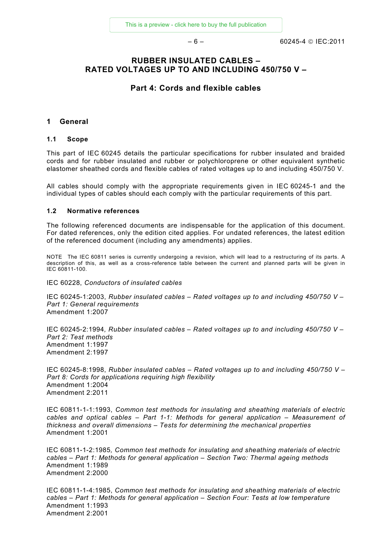## **RUBBER INSULATED CABLES – RATED VOLTAGES UP TO AND INCLUDING 450/750 V –**

## **Part 4: Cords and flexible cables**

#### **1 General**

#### **1.1 Scope**

This part of IEC 60245 details the particular specifications for rubber insulated and braided cords and for rubber insulated and rubber or polychloroprene or other equivalent synthetic elastomer sheathed cords and flexible cables of rated voltages up to and including 450/750 V.

All cables should comply with the appropriate requirements given in IEC 60245-1 and the individual types of cables should each comply with the particular requirements of this part.

#### **1.2 Normative references**

The following referenced documents are indispensable for the application of this document. For dated references, only the edition cited applies. For undated references, the latest edition of the referenced document (including any amendments) applies.

NOTE The IEC 60811 series is currently undergoing a revision, which will lead to a restructuring of its parts. A description of this, as well as a cross-reference table between the current and planned parts will be given in IEC 60811-100.

IEC 60228, *Conductors of insulated cables*

IEC 60245-1:2003, *Rubber insulated cables – Rated voltages up to and including 450/750 V – Part 1: General requirements*  Amendment 1:2007

IEC 60245-2:1994*, Rubber insulated cables – Rated voltages up to and including 450/750 V – Part 2: Test methods*  Amendment 1:1997 Amendment 2:1997

IEC 60245-8:1998, *Rubber insulated cables – Rated voltages up to and including 450/750 V – Part 8: Cords for applications requiring high flexibility* Amendment 1:2004 Amendment 2:2011

IEC 60811-1-1:1993, *Common test methods for insulating and sheathing materials of electric cables and optical cables – Part 1-1: Methods for general application – Measurement of thickness and overall dimensions – Tests for determining the mechanical properties* Amendment 1:2001

IEC 60811-1-2:1985*, Common test methods for insulating and sheathing materials of electric cables – Part 1: Methods for general application – Section Two: Thermal ageing methods* Amendment 1:1989 Amendment 2:2000

IEC 60811-1-4:1985, *Common test methods for insulating and sheathing materials of electric cables – Part 1: Methods for general application – Section Four: Tests at low temperature* Amendment 1:1993 Amendment 2:2001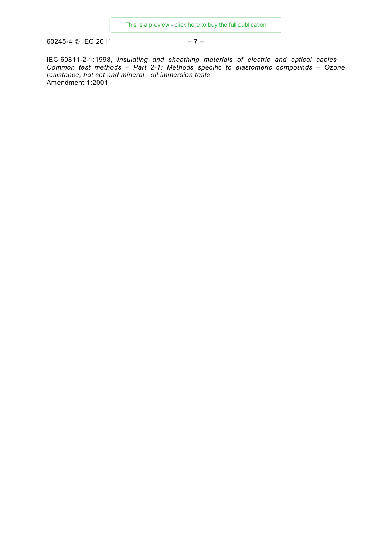$60245-4$  © IEC:2011 – 7 –

IEC 60811-2-1:1998*, Insulating and sheathing materials of electric and optical cables – Common test methods – Part 2-1: Methods specific to elastomeric compounds – Ozone resistance, hot set and mineral oil immersion tests*  Amendment 1:2001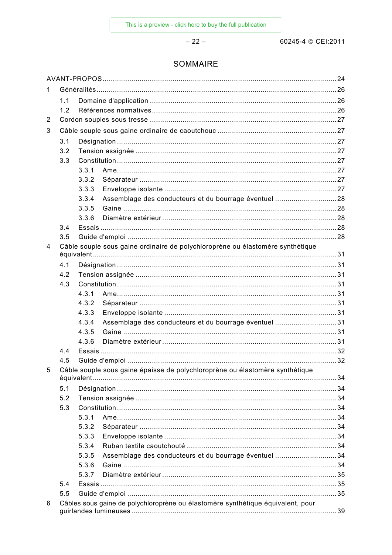$-22-$ 

## SOMMAIRE

| 1                                                                                   |            |                |                                                                                 |  |
|-------------------------------------------------------------------------------------|------------|----------------|---------------------------------------------------------------------------------|--|
|                                                                                     | 1.1        |                |                                                                                 |  |
|                                                                                     | 1.2        |                |                                                                                 |  |
| 2                                                                                   |            |                |                                                                                 |  |
| 3                                                                                   |            |                |                                                                                 |  |
|                                                                                     | 3.1        |                |                                                                                 |  |
|                                                                                     | 3.2        |                |                                                                                 |  |
|                                                                                     | 3.3        |                |                                                                                 |  |
|                                                                                     |            | 3.3.1          |                                                                                 |  |
|                                                                                     |            | 3.3.2          |                                                                                 |  |
|                                                                                     |            | 3.3.3          |                                                                                 |  |
|                                                                                     |            | 3.3.4          |                                                                                 |  |
|                                                                                     |            | 3.3.5          |                                                                                 |  |
|                                                                                     |            | 3.3.6          |                                                                                 |  |
|                                                                                     | 3.4        |                |                                                                                 |  |
|                                                                                     | 3.5        |                |                                                                                 |  |
| Câble souple sous gaine ordinaire de polychloroprène ou élastomère synthétique<br>4 |            |                |                                                                                 |  |
|                                                                                     | 4.1        |                |                                                                                 |  |
|                                                                                     | 4.2        |                |                                                                                 |  |
|                                                                                     | 4.3        |                |                                                                                 |  |
|                                                                                     |            | 4.3.1          |                                                                                 |  |
|                                                                                     |            | 4.3.2          |                                                                                 |  |
|                                                                                     |            | 4.3.3          |                                                                                 |  |
|                                                                                     |            | 4.3.4          | Assemblage des conducteurs et du bourrage éventuel 31                           |  |
|                                                                                     |            | 4.3.5          |                                                                                 |  |
|                                                                                     |            | 4.3.6          |                                                                                 |  |
|                                                                                     | 4.4        |                |                                                                                 |  |
|                                                                                     | 4.5        |                |                                                                                 |  |
|                                                                                     |            |                | Câble souple sous gaine épaisse de polychloroprène ou élastomère synthétique    |  |
|                                                                                     |            |                |                                                                                 |  |
|                                                                                     | 5.1        |                |                                                                                 |  |
|                                                                                     | 5.2<br>5.3 |                |                                                                                 |  |
|                                                                                     |            |                |                                                                                 |  |
|                                                                                     |            | 5.3.1          |                                                                                 |  |
|                                                                                     |            | 5.3.2          |                                                                                 |  |
|                                                                                     |            | 5.3.3          |                                                                                 |  |
|                                                                                     |            | 5.3.4          |                                                                                 |  |
|                                                                                     |            | 5.3.5<br>5.3.6 | Assemblage des conducteurs et du bourrage éventuel 34                           |  |
|                                                                                     |            | 5.3.7          |                                                                                 |  |
|                                                                                     | 5.4        |                |                                                                                 |  |
|                                                                                     | 5.5        |                |                                                                                 |  |
| 6                                                                                   |            |                | Câbles sous gaine de polychloroprène ou élastomère synthétique équivalent, pour |  |
|                                                                                     |            |                |                                                                                 |  |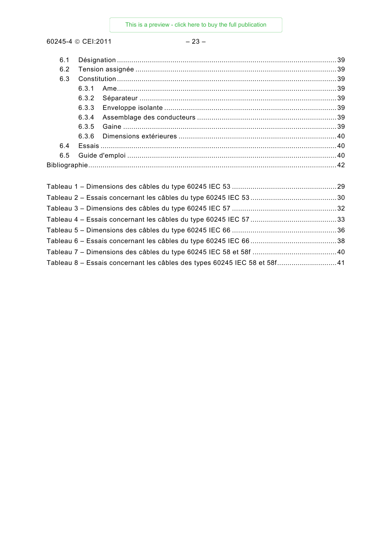This is a preview - click here to buy the full publication

60245-4 © CEI:2011

| 6.1 |       |  |
|-----|-------|--|
| 6.2 |       |  |
| 6.3 |       |  |
|     | 631   |  |
|     |       |  |
|     | 6.3.3 |  |
|     | 6.3.4 |  |
|     | 635   |  |
|     | 6.3.6 |  |
| 64  |       |  |
| 6.5 |       |  |
|     |       |  |
|     |       |  |
|     |       |  |

| Tableau 1 – Dimensions des câbles du type 60245 IEC 53 ……………………………………………………29 |  |
|-------------------------------------------------------------------------------|--|
|                                                                               |  |
|                                                                               |  |
|                                                                               |  |
|                                                                               |  |
|                                                                               |  |
|                                                                               |  |
| Tableau 8 – Essais concernant les câbles des types 60245 IEC 58 et 58f41      |  |
|                                                                               |  |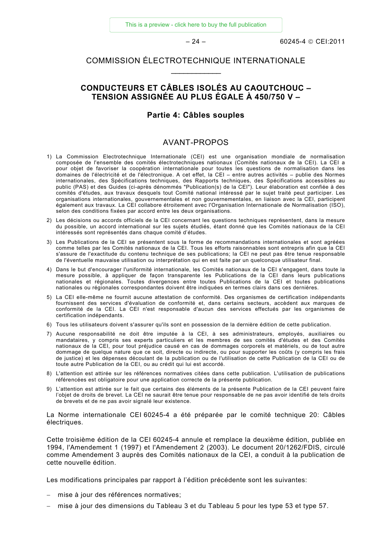$-24 -$  60245-4 © CFI:2011

## COMMISSION ÉLECTROTECHNIQUE INTERNATIONALE \_\_\_\_\_\_\_\_\_\_\_\_

## **CONDUCTEURS ET CÂBLES ISOLÉS AU CAOUTCHOUC – TENSION ASSIGNÉE AU PLUS ÉGALE À 450/750 V –**

#### **Partie 4: Câbles souples**

#### AVANT-PROPOS

- 1) La Commission Electrotechnique Internationale (CEI) est une organisation mondiale de normalisation composée de l'ensemble des comités électrotechniques nationaux (Comités nationaux de la CEI). La CEI a pour objet de favoriser la coopération internationale pour toutes les questions de normalisation dans les domaines de l'électricité et de l'électronique. A cet effet, la CEI – entre autres activités – publie des Normes internationales, des Spécifications techniques, des Rapports techniques, des Spécifications accessibles au public (PAS) et des Guides (ci-après dénommés "Publication(s) de la CEI"). Leur élaboration est confiée à des comités d'études, aux travaux desquels tout Comité national intéressé par le sujet traité peut participer. Les organisations internationales, gouvernementales et non gouvernementales, en liaison avec la CEI, participent également aux travaux. La CEI collabore étroitement avec l'Organisation Internationale de Normalisation (ISO), selon des conditions fixées par accord entre les deux organisations.
- 2) Les décisions ou accords officiels de la CEI concernant les questions techniques représentent, dans la mesure du possible, un accord international sur les sujets étudiés, étant donné que les Comités nationaux de la CEI intéressés sont représentés dans chaque comité d'études.
- 3) Les Publications de la CEI se présentent sous la forme de recommandations internationales et sont agréées comme telles par les Comités nationaux de la CEI. Tous les efforts raisonnables sont entrepris afin que la CEI s'assure de l'exactitude du contenu technique de ses publications; la CEI ne peut pas être tenue responsable de l'éventuelle mauvaise utilisation ou interprétation qui en est faite par un quelconque utilisateur final.
- 4) Dans le but d'encourager l'uniformité internationale, les Comités nationaux de la CEI s'engagent, dans toute la mesure possible, à appliquer de façon transparente les Publications de la CEI dans leurs publications nationales et régionales. Toutes divergences entre toutes Publications de la CEI et toutes publications nationales ou régionales correspondantes doivent être indiquées en termes clairs dans ces dernières.
- 5) La CEI elle-même ne fournit aucune attestation de conformité. Des organismes de certification indépendants fournissent des services d'évaluation de conformité et, dans certains secteurs, accèdent aux marques de conformité de la CEI. La CEI n'est responsable d'aucun des services effectués par les organismes de certification indépendants.
- 6) Tous les utilisateurs doivent s'assurer qu'ils sont en possession de la dernière édition de cette publication.
- 7) Aucune responsabilité ne doit être imputée à la CEI, à ses administrateurs, employés, auxiliaires ou mandataires, y compris ses experts particuliers et les membres de ses comités d'études et des Comités nationaux de la CEI, pour tout préjudice causé en cas de dommages corporels et matériels, ou de tout autre dommage de quelque nature que ce soit, directe ou indirecte, ou pour supporter les coûts (y compris les frais de justice) et les dépenses découlant de la publication ou de l'utilisation de cette Publication de la CEI ou de toute autre Publication de la CEI, ou au crédit qui lui est accordé.
- 8) L'attention est attirée sur les références normatives citées dans cette publication. L'utilisation de publications référencées est obligatoire pour une application correcte de la présente publication.
- 9) L'attention est attirée sur le fait que certains des éléments de la présente Publication de la CEI peuvent faire l'objet de droits de brevet. La CEI ne saurait être tenue pour responsable de ne pas avoir identifié de tels droits de brevets et de ne pas avoir signalé leur existence.

La Norme internationale CEI 60245-4 a été préparée par le comité technique 20: Câbles électriques.

Cette troisième édition de la CEI 60245-4 annule et remplace la deuxième édition, publiée en 1994, l'Amendement 1 (1997) et l'Amendement 2 (2003). Le document 20/1262/FDIS, circulé comme Amendement 3 auprès des Comités nationaux de la CEI, a conduit à la publication de cette nouvelle édition.

Les modifications principales par rapport à l'édition précédente sont les suivantes:

- − mise à jour des références normatives;
- − mise à jour des dimensions du Tableau 3 et du Tableau 5 pour les type 53 et type 57.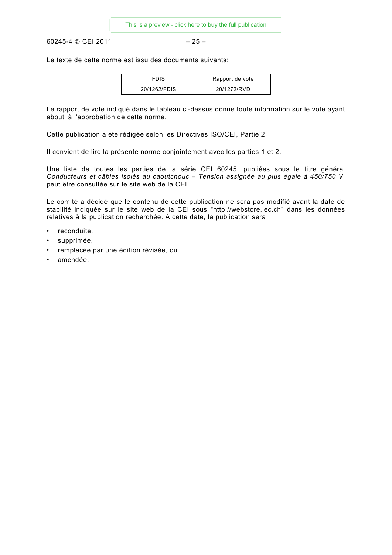$60245-4$  © CEI:2011 – 25 –

Le texte de cette norme est issu des documents suivants:

| <b>FDIS</b>  | Rapport de vote |  |
|--------------|-----------------|--|
| 20/1262/FDIS | 20/1272/RVD     |  |

Le rapport de vote indiqué dans le tableau ci-dessus donne toute information sur le vote ayant abouti à l'approbation de cette norme.

Cette publication a été rédigée selon les Directives ISO/CEI, Partie 2.

Il convient de lire la présente norme conjointement avec les parties 1 et 2.

Une liste de toutes les parties de la série CEI 60245, publiées sous le titre général *Conducteurs et câbles isolés au caoutchouc – Tension assignée au plus égale à 450/750 V*, peut être consultée sur le site web de la CEI.

Le comité a décidé que le contenu de cette publication ne sera pas modifié avant la date de stabilité indiquée sur le site web de la CEI sous "http://webstore.iec.ch" dans les données relatives à la publication recherchée. A cette date, la publication sera

- reconduite,
- supprimée,
- remplacée par une édition révisée, ou
- amendée.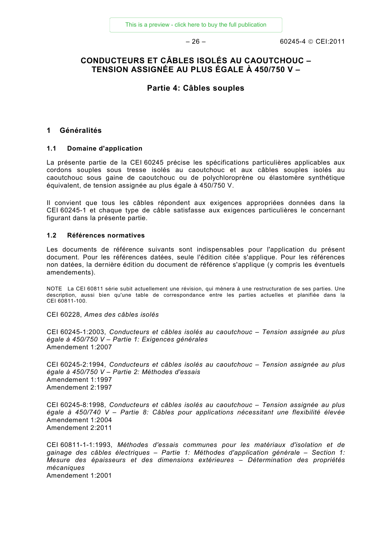## **CONDUCTEURS ET CÂBLES ISOLÉS AU CAOUTCHOUC – TENSION ASSIGNÉE AU PLUS ÉGALE À 450/750 V –**

## **Partie 4: Câbles souples**

#### **1 Généralités**

#### **1.1 Domaine d'application**

La présente partie de la CEI 60245 précise les spécifications particulières applicables aux cordons souples sous tresse isolés au caoutchouc et aux câbles souples isolés au caoutchouc sous gaine de caoutchouc ou de polychloroprène ou élastomère synthétique équivalent, de tension assignée au plus égale à 450/750 V.

Il convient que tous les câbles répondent aux exigences appropriées données dans la CEI 60245-1 et chaque type de câble satisfasse aux exigences particulières le concernant figurant dans la présente partie.

#### **1.2 Références normatives**

Les documents de référence suivants sont indispensables pour l'application du présent document. Pour les références datées, seule l'édition citée s'applique. Pour les références non datées, la dernière édition du document de référence s'applique (y compris les éventuels amendements).

NOTE La CEI 60811 série subit actuellement une révision, qui mènera à une restructuration de ses parties. Une description, aussi bien qu'une table de correspondance entre les parties actuelles et planifiée dans la CEI 60811-100.

CEI 60228, *Ames des câbles isolés*

CEI 60245-1:2003, *Conducteurs et câbles isolés au caoutchouc – Tension assignée au plus égale à 450/750 V – Partie 1: Exigences générales* Amendement 1:2007

CEI 60245-2:1994, *Conducteurs et câbles isolés au caoutchouc – Tension assignée au plus égale à 450/750 V – Partie 2: Méthodes d'essais* Amendement 1:1997 Amendement 2:1997

CEI 60245-8:1998, *Conducteurs et câbles isolés au caoutchouc – Tension assignée au plus égale à 450/740 V – Partie 8: Câbles pour applications nécessitant une flexibilité élevée* Amendement 1:2004 Amendement 2:2011

CEI 60811-1-1:1993, *Méthodes d'essais communes pour les matériaux d'isolation et de gainage des câbles électriques – Partie 1: Méthodes d'application générale – Section 1: Mesure des épaisseurs et des dimensions extérieures – Détermination des propriétés mécaniques*

Amendement 1:2001